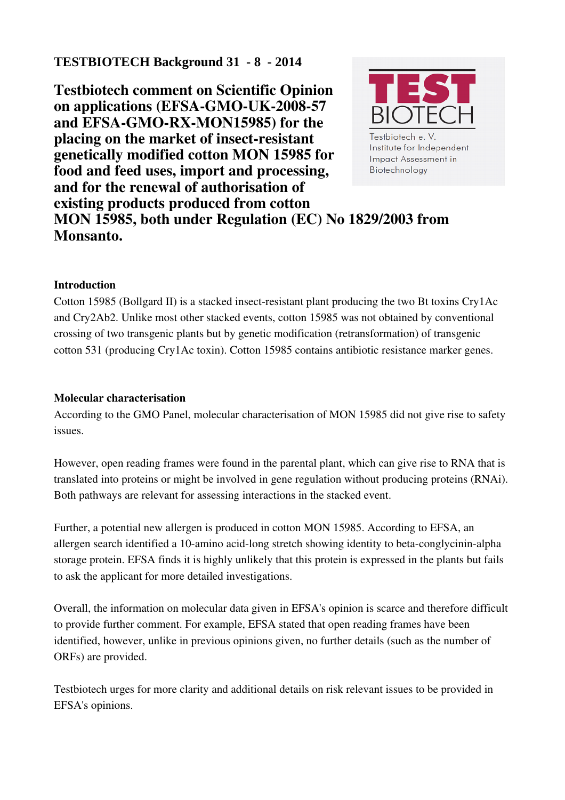# **TESTBIOTECH Background 31 - 8 - 2014**

Testbiotech comment on Scientific Opinion on applications (EFSA-GMO-UK-2008-57) and EFSA-GMO-RX-MON15985) for the placing on the market of insect-resistant genetically modified cotton MON 15985 for food and feed uses, import and processing, and for the renewal of authorisation of existing products produced from cotton MON 15985, both under Regulation (EC) No 1829/2003 from Monsanto.



### Introduction

Cotton 15985 (Bollgard II) is a stacked insect-resistant plant producing the two Bt toxins  $Cry1Ac$ and Cry2Ab2. Unlike most other stacked events, cotton 15985 was not obtained by conventional crossing of two transgenic plants but by genetic modification (retransformation) of transgenic cotton 531 (producing Cry1Ac toxin). Cotton 15985 contains antibiotic resistance marker genes.

#### Molecular characterisation

According to the GMO Panel, molecular characterisation of MON 15985 did not give rise to safety issues.

However, open reading frames were found in the parental plant, which can give rise to RNA that is translated into proteins or might be involved in gene regulation without producing proteins (RNAi). Both pathways are relevant for assessing interactions in the stacked event.

Further, a potential new allergen is produced in cotton MON 15985. According to EFSA, an allergen search identified a 10-amino acid-long stretch showing identity to beta-conglycinin-alpha storage protein. EFSA finds it is highly unlikely that this protein is expressed in the plants but fails to ask the applicant for more detailed investigations.

Overall, the information on molecular data given in EFSA's opinion is scarce and therefore difficult to provide further comment. For example, EFSA stated that open reading frames have been identified, however, unlike in previous opinions given, no further details (such as the number of ORFs) are provided.

Testbiotech urges for more clarity and additional details on risk relevant issues to be provided in EFSA's opinions.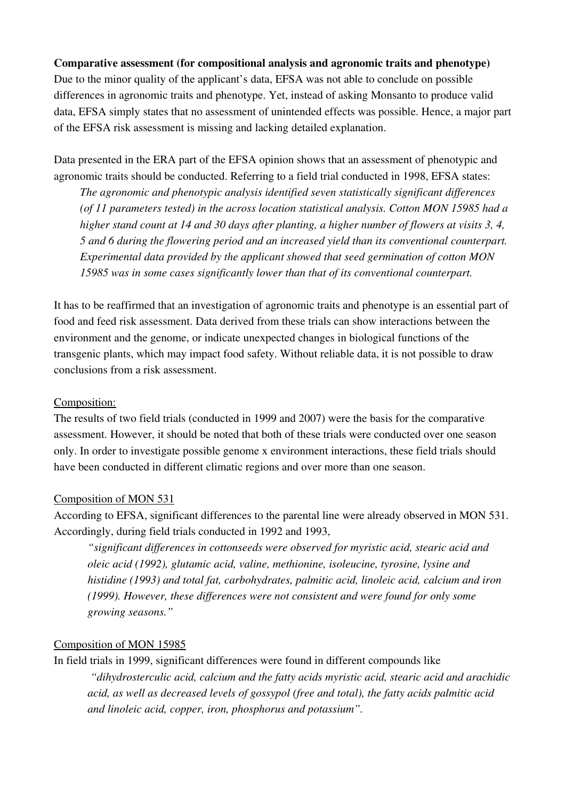### Comparative assessment (for compositional analysis and agronomic traits and phenotype)

Due to the minor quality of the applicant's data, EFSA was not able to conclude on possible differences in agronomic traits and phenotype. Yet, instead of asking Monsanto to produce valid data, EFSA simply states that no assessment of unintended effects was possible. Hence, a major part of the EFSA risk assessment is missing and lacking detailed explanation.

Data presented in the ERA part of the EFSA opinion shows that an assessment of phenotypic and agronomic traits should be conducted. Referring to a field trial conducted in 1998, EFSA states:

*The agronomic and phenotypic analysis identified seven statistically significant differences (of 11 parameters tested) in the across location statistical analysis. Cotton MON 15985 had a higher stand count at 14 and 30 days after planting, a higher number of flowers at visits 3, 4, 5 and 6 during the flowering period and an increased yield than its conventional counterpart. Experimental data provided by the applicant showed that seed germination of cotton MON 15985 was in some cases significantly lower than that of its conventional counterpart.*

It has to be reaffirmed that an investigation of agronomic traits and phenotype is an essential part of food and feed risk assessment. Data derived from these trials can show interactions between the environment and the genome, or indicate unexpected changes in biological functions of the transgenic plants, which may impact food safety. Without reliable data, it is not possible to draw conclusions from a risk assessment.

## Composition:

The results of two field trials (conducted in 1999 and 2007) were the basis for the comparative assessment. However, it should be noted that both of these trials were conducted over one season only. In order to investigate possible genome x environment interactions, these field trials should have been conducted in different climatic regions and over more than one season.

#### Composition of MON 531

According to EFSA, significant differences to the parental line were already observed in MON 531. Accordingly, during field trials conducted in 1992 and 1993,

*"significant differences in cottonseeds were observed for myristic acid, stearic acid and oleic acid (1992), glutamic acid, valine, methionine, isoleucine, tyrosine, lysine and histidine (1993) and total fat, carbohydrates, palmitic acid, linoleic acid, calcium and iron (1999). However, these differences were not consistent and were found for only some growing seasons."*

#### Composition of MON 15985

In field trials in 1999, significant differences were found in different compounds like

*"dihydrosterculic acid, calcium and the fatty acids myristic acid, stearic acid and arachidic acid, as well as decreased levels of gossypol (free and total), the fatty acids palmitic acid and linoleic acid, copper, iron, phosphorus and potassium".*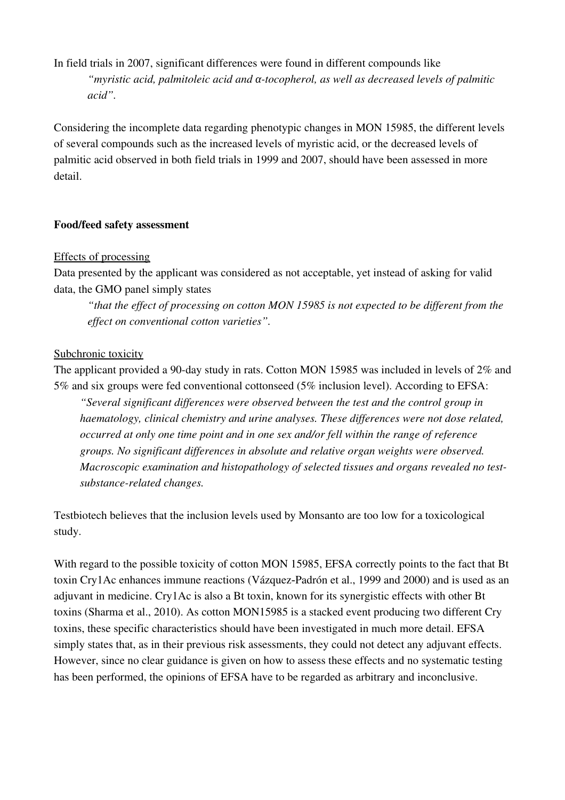In field trials in 2007, significant differences were found in different compounds like *"myristic acid, palmitoleic acid and tocopherol, as well as decreased levels of palmitic α acid".*

Considering the incomplete data regarding phenotypic changes in MON 15985, the different levels of several compounds such as the increased levels of myristic acid, or the decreased levels of palmitic acid observed in both field trials in 1999 and 2007, should have been assessed in more detail.

### Food/feed safety assessment

#### Effects of processing

Data presented by the applicant was considered as not acceptable, yet instead of asking for valid data, the GMO panel simply states

*"that the effect of processing on cotton MON 15985 is not expected to be different from the effect on conventional cotton varieties".* 

#### Subchronic toxicity

The applicant provided a 90-day study in rats. Cotton MON 15985 was included in levels of  $2\%$  and 5% and six groups were fed conventional cottonseed (5% inclusion level). According to EFSA:

*"Several significant differences were observed between the test and the control group in haematology, clinical chemistry and urine analyses. These differences were not dose related, occurred at only one time point and in one sex and/or fell within the range of reference groups. No significant differences in absolute and relative organ weights were observed. Macroscopic examination and histopathology of selected tissues and organs revealed no testsubstance-related changes.* 

Testbiotech believes that the inclusion levels used by Monsanto are too low for a toxicological study.

With regard to the possible toxicity of cotton MON 15985, EFSA correctly points to the fact that Bt toxin Cry1Ac enhances immune reactions (Vázquez-Padrón et al., 1999 and 2000) and is used as an adjuvant in medicine. Cry1Ac is also a Bt toxin, known for its synergistic effects with other Bt toxins (Sharma et al., 2010). As cotton MON15985 is a stacked event producing two different Cry toxins, these specific characteristics should have been investigated in much more detail. EFSA simply states that, as in their previous risk assessments, they could not detect any adjuvant effects. However, since no clear guidance is given on how to assess these effects and no systematic testing has been performed, the opinions of EFSA have to be regarded as arbitrary and inconclusive.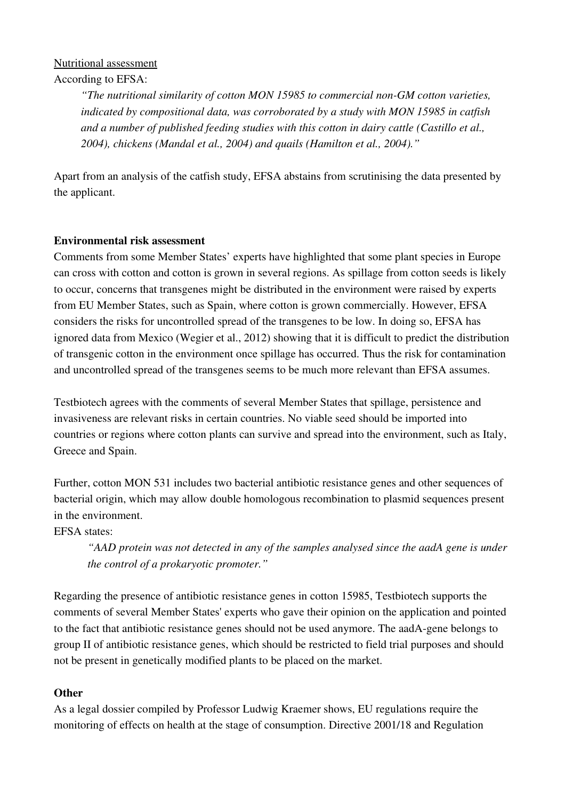# Nutritional assessment

According to EFSA:

*"The nutritional similarity of cotton MON 15985 to commercial non-GM cotton varieties, indicated by compositional data, was corroborated by a study with MON 15985 in catfish and a number of published feeding studies with this cotton in dairy cattle (Castillo et al., 2004), chickens (Mandal et al., 2004) and quails (Hamilton et al., 2004)."*

Apart from an analysis of the catfish study, EFSA abstains from scrutinising the data presented by the applicant.

# Environmental risk assessment

Comments from some Member States' experts have highlighted that some plant species in Europe can cross with cotton and cotton is grown in several regions. As spillage from cotton seeds is likely to occur, concerns that transgenes might be distributed in the environment were raised by experts from EU Member States, such as Spain, where cotton is grown commercially. However, EFSA considers the risks for uncontrolled spread of the transgenes to be low. In doing so, EFSA has ignored data from Mexico (Wegier et al., 2012) showing that it is difficult to predict the distribution of transgenic cotton in the environment once spillage has occurred. Thus the risk for contamination and uncontrolled spread of the transgenes seems to be much more relevant than EFSA assumes.

Testbiotech agrees with the comments of several Member States that spillage, persistence and invasiveness are relevant risks in certain countries. No viable seed should be imported into countries or regions where cotton plants can survive and spread into the environment, such as Italy, Greece and Spain.

Further, cotton MON 531 includes two bacterial antibiotic resistance genes and other sequences of bacterial origin, which may allow double homologous recombination to plasmid sequences present in the environment.

EFSA states:

*"AAD protein was not detected in any of the samples analysed since the aadA gene is under the control of a prokaryotic promoter."*

Regarding the presence of antibiotic resistance genes in cotton 15985, Testbiotech supports the comments of several Member States' experts who gave their opinion on the application and pointed to the fact that antibiotic resistance genes should not be used anymore. The aadA-gene belongs to group II of antibiotic resistance genes, which should be restricted to field trial purposes and should not be present in genetically modified plants to be placed on the market.

# **Other**

As a legal dossier compiled by Professor Ludwig Kraemer shows, EU regulations require the monitoring of effects on health at the stage of consumption. Directive 2001/18 and Regulation